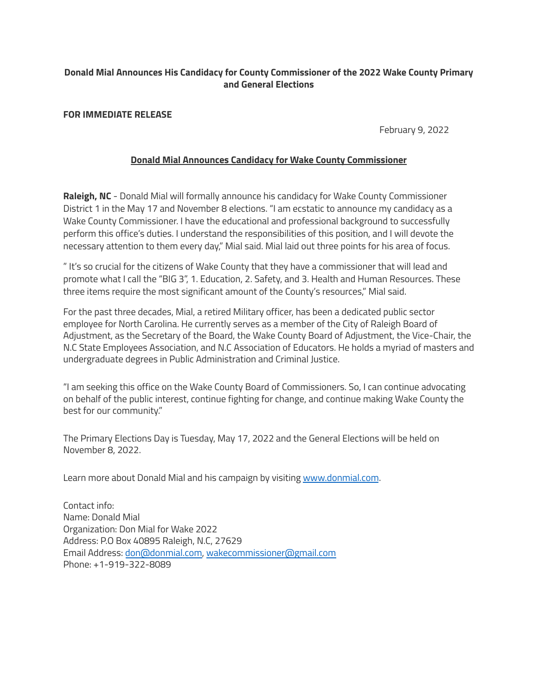## **Donald Mial Announces His Candidacy for County Commissioner of the 2022 Wake County Primary and General Elections**

#### **FOR IMMEDIATE RELEASE**

February 9, 2022

### **Donald Mial Announces Candidacy for Wake County Commissioner**

**Raleigh, NC** - Donald Mial will formally announce his candidacy for Wake County Commissioner District 1 in the May 17 and November 8 elections. "I am ecstatic to announce my candidacy as a Wake County Commissioner. I have the educational and professional background to successfully perform this office's duties. I understand the responsibilities of this position, and I will devote the necessary attention to them every day," Mial said. Mial laid out three points for his area of focus.

" It's so crucial for the citizens of Wake County that they have a commissioner that will lead and promote what I call the "BIG 3", 1. Education, 2. Safety, and 3. Health and Human Resources. These three items require the most significant amount of the County's resources," Mial said.

For the past three decades, Mial, a retired Military officer, has been a dedicated public sector employee for North Carolina. He currently serves as a member of the City of Raleigh Board of Adjustment, as the Secretary of the Board, the Wake County Board of Adjustment, the Vice-Chair, the N.C State Employees Association, and N.C Association of Educators. He holds a myriad of masters and undergraduate degrees in Public Administration and Criminal Justice.

"I am seeking this office on the Wake County Board of Commissioners. So, I can continue advocating on behalf of the public interest, continue fighting for change, and continue making Wake County the best for our community."

The Primary Elections Day is Tuesday, May 17, 2022 and the General Elections will be held on November 8, 2022.

Learn more about Donald Mial and his campaign by visiting [www.donmial.com](http://www.donmial.com).

Contact info: Name: Donald Mial Organization: Don Mial for Wake 2022 Address: P.O Box 40895 Raleigh, N.C, 27629 Email Address: [don@donmial.com](mailto:don@donmial.com), [wakecommissioner@gmail.com](mailto:wakecommissioner@gmail.com) Phone: +1-919-322-8089